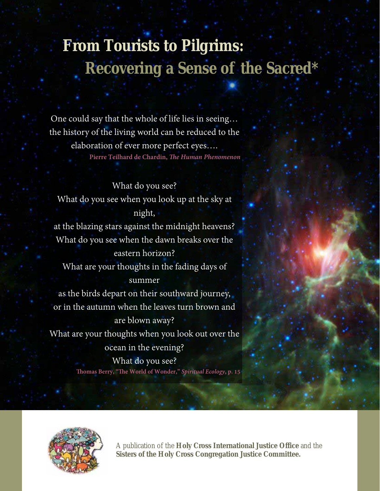# **From Tourists to Pilgrims: Recovering a Sense of the Sacred\***

One could say that the whole of life lies in seeing… the history of the living world can be reduced to the elaboration of ever more perfect eyes…. **Pierre Teilhard de Chardin,** *The Human Phenomenon*

What do you see? What do you see when you look up at the sky at night, at the blazing stars against the midnight heavens? What do you see when the dawn breaks over the eastern horizon? What are your thoughts in the fading days of summer as the birds depart on their southward journey, or in the autumn when the leaves turn brown and are blown away? What are your thoughts when you look out over the ocean in the evening? What do you see? **Thomas Berry, "The World of Wonder,"** *Spiritual Ecology***, p. 15**



A publication of the **Holy Cross International Justice Office** and the **Sisters of the Holy Cross Congregation Justice Committee.**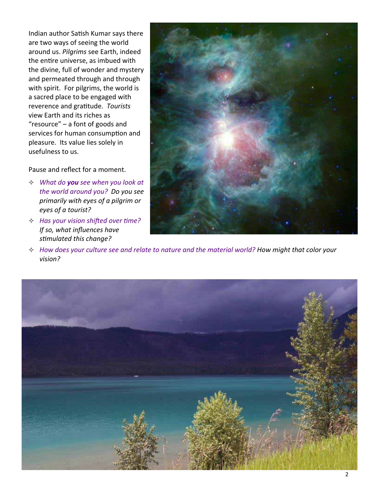Indian author Satish Kumar says there are two ways of seeing the world around us. *Pilgrims* see Earth, indeed the entire universe, as imbued with the divine, full of wonder and mystery and permeated through and through with spirit. For pilgrims, the world is a sacred place to be engaged with reverence and graƟtude. *Tourists* view Earth and its riches as "resource" – a font of goods and services for human consumption and pleasure. Its value lies solely in usefulness to us.

Pause and reflect for a moment.

- *What do you see when you look at the world around you? Do you see primarily with eyes of a pilgrim or eyes of a tourist?*
- $\div$  *Has* your vision shifted over time? *If so, what influences have sƟmulated this change?*



*How does your culture see and relate to nature and the material world? How might that color your vision?*

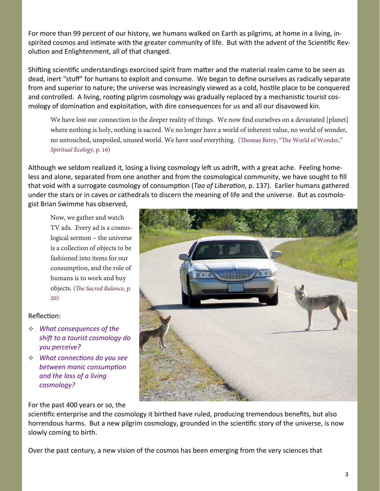For more than 99 percent of our history, we humans walked on Earth as pilgrims, at home in a living, in‐ spirited cosmos and intimate with the greater community of life. But with the advent of the Scientific Revolution and Enlightenment, all of that changed.

Shifting scientific understandings exorcised spirit from matter and the material realm came to be seen as dead, inert "stuff" for humans to exploit and consume. We began to define ourselves as radically separate from and superior to nature; the universe was increasingly viewed as a cold, hostile place to be conquered and controlled. A living, rooting pilgrim cosmology was gradually replaced by a mechanistic tourist cosmology of domination and exploitation, with dire consequences for us and all our disavowed kin.

We have lost our connection to the deeper reality of things. We now find ourselves on a devastated [planet] where nothing is holy, nothing is sacred. We no longer have a world of inherent value, no world of wonder, no untouched, unspoiled, unused world. We have *used* everything. (Thomas Berry, "The World of Wonder," *Spiritual Ecology*, p. 16)

Although we seldom realized it, losing a living cosmology left us adrift, with a great ache. Feeling homeless and alone, separated from one another and from the cosmological community, we have sought to fill that void with a surrogate cosmology of consumption (*Tao of Liberation*, p. 137). Earlier humans gathered under the stars or in caves or cathedrals to discern the meaning of life and the universe. But as cosmologist Brian Swimme has observed,

Now, we gather and watch TV ads. Every ad is a cosmological sermon – the universe is a collection of objects to be fashioned into items for our consumption, and the role of humans is to work and buy objects. (*The Sacred Balance*, p. 20)

### Reflection:

- *What consequences of the shift to a tourist cosmology do you perceive?*
- *What connecƟons do you see between manic consumpƟon and the loss of a living cosmology?*

For the past 400 years or so, the

scientific enterprise and the cosmology it birthed have ruled, producing tremendous benefits, but also horrendous harms. But a new pilgrim cosmology, grounded in the scientific story of the universe, is now slowly coming to birth.

Over the past century, a new vision of the cosmos has been emerging from the very sciences that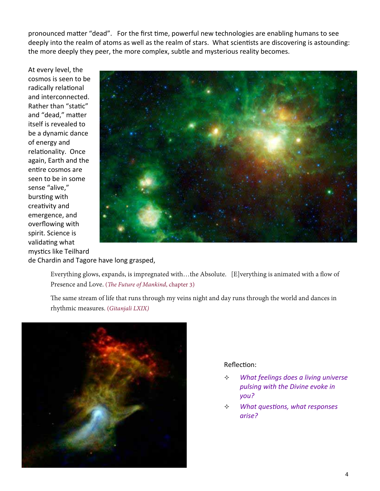pronounced matter "dead". For the first time, powerful new technologies are enabling humans to see deeply into the realm of atoms as well as the realm of stars. What scientists are discovering is astounding: the more deeply they peer, the more complex, subtle and mysterious reality becomes.

At every level, the cosmos is seen to be radically relational and interconnected. Rather than "static" and "dead," matter itself is revealed to be a dynamic dance of energy and relationality. Once again, Earth and the entire cosmos are seen to be in some sense "alive," bursting with creativity and emergence, and overflowing with spirit. Science is validating what mystics like Teilhard



de Chardin and Tagore have long grasped,

Everything glows, expands, is impregnated with…the Absolute. [E]verything is animated with a flow of Presence and Love. (*The Future of Mankind*, chapter 3)

The same stream of life that runs through my veins night and day runs through the world and dances in rhythmic measures. (*Gitanjali LXIX)*



## Reflection:

- *What feelings does a living universe pulsing with the Divine evoke in you?*
- *What quesƟons, what responses arise?*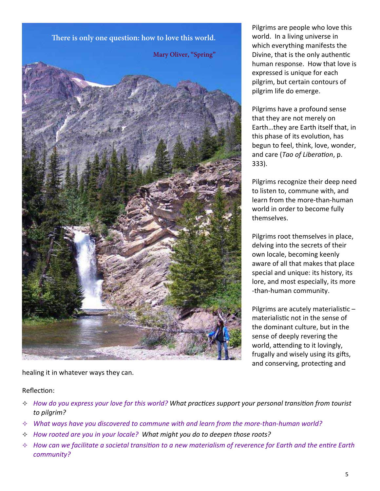

Pilgrims are people who love this world. In a living universe in which everything manifests the Divine, that is the only authentic human response. How that love is expressed is unique for each pilgrim, but certain contours of pilgrim life do emerge.

Pilgrims have a profound sense that they are not merely on Earth…they are Earth itself that, in this phase of its evolution, has begun to feel, think, love, wonder, and care (*Tao of LiberaƟon*, p. 333).

Pilgrims recognize their deep need to listen to, commune with, and learn from the more‐than‐human world in order to become fully themselves.

Pilgrims root themselves in place, delving into the secrets of their own locale, becoming keenly aware of all that makes that place special and unique: its history, its lore, and most especially, its more ‐than‐human community.

Pilgrims are acutely materialistic  $$ materialistic not in the sense of the dominant culture, but in the sense of deeply revering the world, attending to it lovingly, frugally and wisely using its gifts, and conserving, protecting and

healing it in whatever ways they can.

Reflection:

- $\div$  How do you express your love for this world? What practices support your personal transition from tourist *to pilgrim?*
- *What ways have you discovered to commune with and learn from the more‐than‐human world?*
- *How rooted are you in your locale? What might you do to deepen those roots?*
- $\Diamond$  How can we facilitate a societal transition to a new materialism of reverence for Earth and the entire Earth *community?*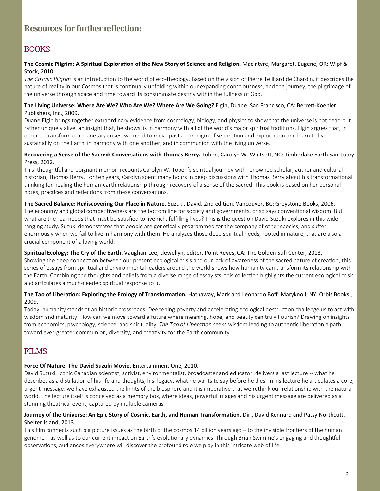# **Resources for further reflection:**

# BOOKS

#### The Cosmic Pilgrim: A Spiritual Exploration of the New Story of Science and Religion. Macintyre, Margaret. Eugene, OR: Wipf & Stock, 2010.

The Cosmic Pilgrim is an introduction to the world of eco-theology. Based on the vision of Pierre Teilhard de Chardin, it describes the nature of reality in our Cosmos that is continually unfolding within our expanding consciousness, and the journey, the pilgrimage of the universe through space and time toward its consummate destiny within the fullness of God.

#### **The Living Universe: Where Are We? Who Are We? Where Are We Going?** Elgin, Duane. San Francisco, CA: BerreƩ‐Koehler Publishers, Inc., 2009.

Duane Elgin brings together extraordinary evidence from cosmology, biology, and physics to show that the universe is not dead but rather uniquely alive, an insight that, he shows, is in harmony with all of the world's major spiritual traditions. Elgin argues that, in order to transform our planetary crises, we need to move past a paradigm of separation and exploitation and learn to live sustainably on the Earth, in harmony with one another, and in communion with the living universe.

#### **Recovering a Sense of the Sacred: ConversaƟons with Thomas Berry.** Toben, Carolyn W. WhitseƩ, NC: Timberlake Earth Sanctuary Press, 2012.

This thoughtful and poignant memoir recounts Carolyn W. Toben's spiritual journey with renowned scholar, author and cultural historian, Thomas Berry. For ten years, Carolyn spent many hours in deep discussions with Thomas Berry about his transformational thinking for healing the human-earth relationship through recovery of a sense of the sacred. This book is based on her personal notes, practices and reflections from these conversations.

#### **The Sacred Balance: Rediscovering Our Place in Nature.** Suzuki, David. 2nd ediƟon. Vancouver, BC: Greystone Books, 2006.

The economy and global competitiveness are the bottom line for society and governments, or so says conventional wisdom. But what are the real needs that must be satisfied to live rich, fulfilling lives? This is the question David Suzuki explores in this wideranging study. Suzuki demonstrates that people are genetically programmed for the company of other species, and suffer enormously when we fail to live in harmony with them. He analyzes those deep spiritual needs, rooted in nature, that are also a crucial component of a loving world.

#### **Spiritual Ecology: The Cry of the Earth.** Vaughan‐Lee, Llewellyn, editor. Point Reyes, CA: The Golden Sufi Center, 2013.

Showing the deep connection between our present ecological crisis and our lack of awareness of the sacred nature of creation, this series of essays from spiritual and environmental leaders around the world shows how humanity can transform its relationship with the Earth. Combining the thoughts and beliefs from a diverse range of essayists, this collection highlights the current ecological crisis and articulates a much-needed spiritual response to it.

#### **The Tao of LiberaƟon: Exploring the Ecology of TransformaƟon.** Hathaway, Mark and Leonardo Boff. Maryknoll, NY: Orbis Books., 2009.

Today, humanity stands at an historic crossroads. Deepening poverty and accelerating ecological destruction challenge us to act with wisdom and maturity: How can we move toward a future where meaning, hope, and beauty can truly flourish? Drawing on insights from economics, psychology, science, and spirituality, *The Tao of Liberation* seeks wisdom leading to authentic liberation a path toward ever-greater communion, diversity, and creativity for the Earth community.

## FILMS

#### **Force Of Nature: The David Suzuki Movie.** Entertainment One, 2010.

David Suzuki, iconic Canadian scientist, activist, environmentalist, broadcaster and educator, delivers a last lecture -- what he describes as a distillation of his life and thoughts, his legacy, what he wants to say before he dies. In his lecture he articulates a core, urgent message: we have exhausted the limits of the biosphere and it is imperative that we rethink our relationship with the natural world. The lecture itself is conceived as a memory box, where ideas, powerful images and his urgent message are delivered as a stunning theatrical event, captured by multiple cameras.

#### Journey of the Universe: An Epic Story of Cosmic, Earth, and Human Transformation. Dir., David Kennard and Patsy Northcutt. Shelter Island, 2013.

This film connects such big picture issues as the birth of the cosmos 14 billion years ago – to the invisible frontiers of the human genome – as well as to our current impact on Earth's evolutionary dynamics. Through Brian Swimme's engaging and thoughtful observations, audiences everywhere will discover the profound role we play in this intricate web of life.